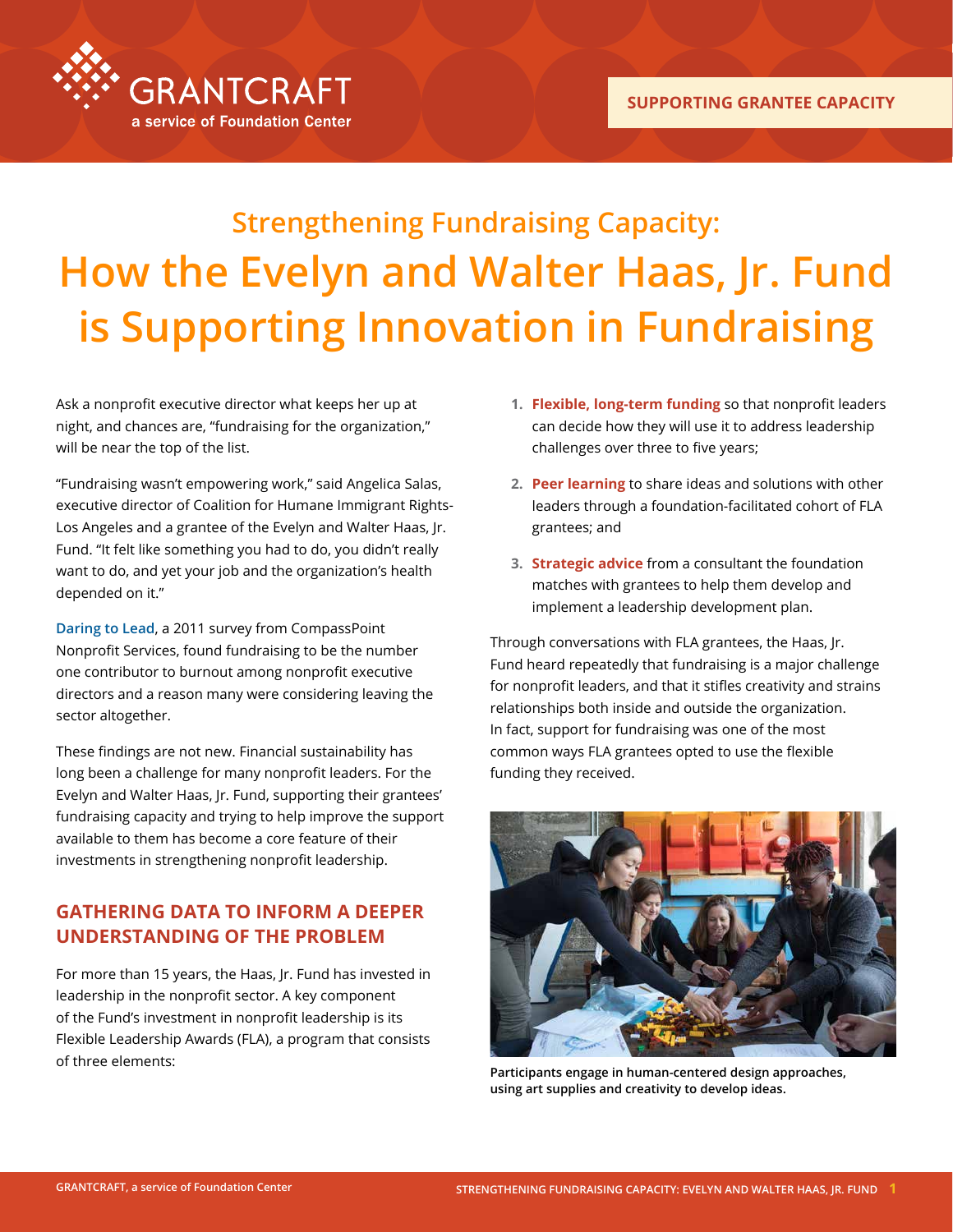

# **Strengthening Fundraising Capacity: How the Evelyn and Walter Haas, Jr. Fund is Supporting Innovation in Fundraising**

Ask a nonprofit executive director what keeps her up at night, and chances are, "fundraising for the organization," will be near the top of the list.

"Fundraising wasn't empowering work," said Angelica Salas, executive director of Coalition for Humane Immigrant Rights-Los Angeles and a grantee of the Evelyn and Walter Haas, Jr. Fund. "It felt like something you had to do, you didn't really want to do, and yet your job and the organization's health depended on it."

**[Daring to Lead](https://www.compasspoint.org/sites/default/files/documents/Daring-to-Lead-2011-Main-Report-online.pdf)**, a 2011 survey from CompassPoint Nonprofit Services, found fundraising to be the number one contributor to burnout among nonprofit executive directors and a reason many were considering leaving the sector altogether.

These findings are not new. Financial sustainability has long been a challenge for many nonprofit leaders. For the Evelyn and Walter Haas, Jr. Fund, supporting their grantees' fundraising capacity and trying to help improve the support available to them has become a core feature of their investments in strengthening nonprofit leadership.

### **GATHERING DATA TO INFORM A DEEPER UNDERSTANDING OF THE PROBLEM**

For more than 15 years, the Haas, Jr. Fund has invested in leadership in the nonprofit sector. A key component of the Fund's investment in nonprofit leadership is its Flexible Leadership Awards (FLA), a program that consists of three elements:

- **1. Flexible, long-term funding** so that nonprofit leaders can decide how they will use it to address leadership challenges over three to five years;
- **2. Peer learning** to share ideas and solutions with other leaders through a foundation-facilitated cohort of FLA grantees; and
- **3. Strategic advice** from a consultant the foundation matches with grantees to help them develop and implement a leadership development plan.

Through conversations with FLA grantees, the Haas, Jr. Fund heard repeatedly that fundraising is a major challenge for nonprofit leaders, and that it stifles creativity and strains relationships both inside and outside the organization. In fact, support for fundraising was one of the most common ways FLA grantees opted to use the flexible funding they received.



**Participants engage in human-centered design approaches, using art supplies and creativity to develop ideas.**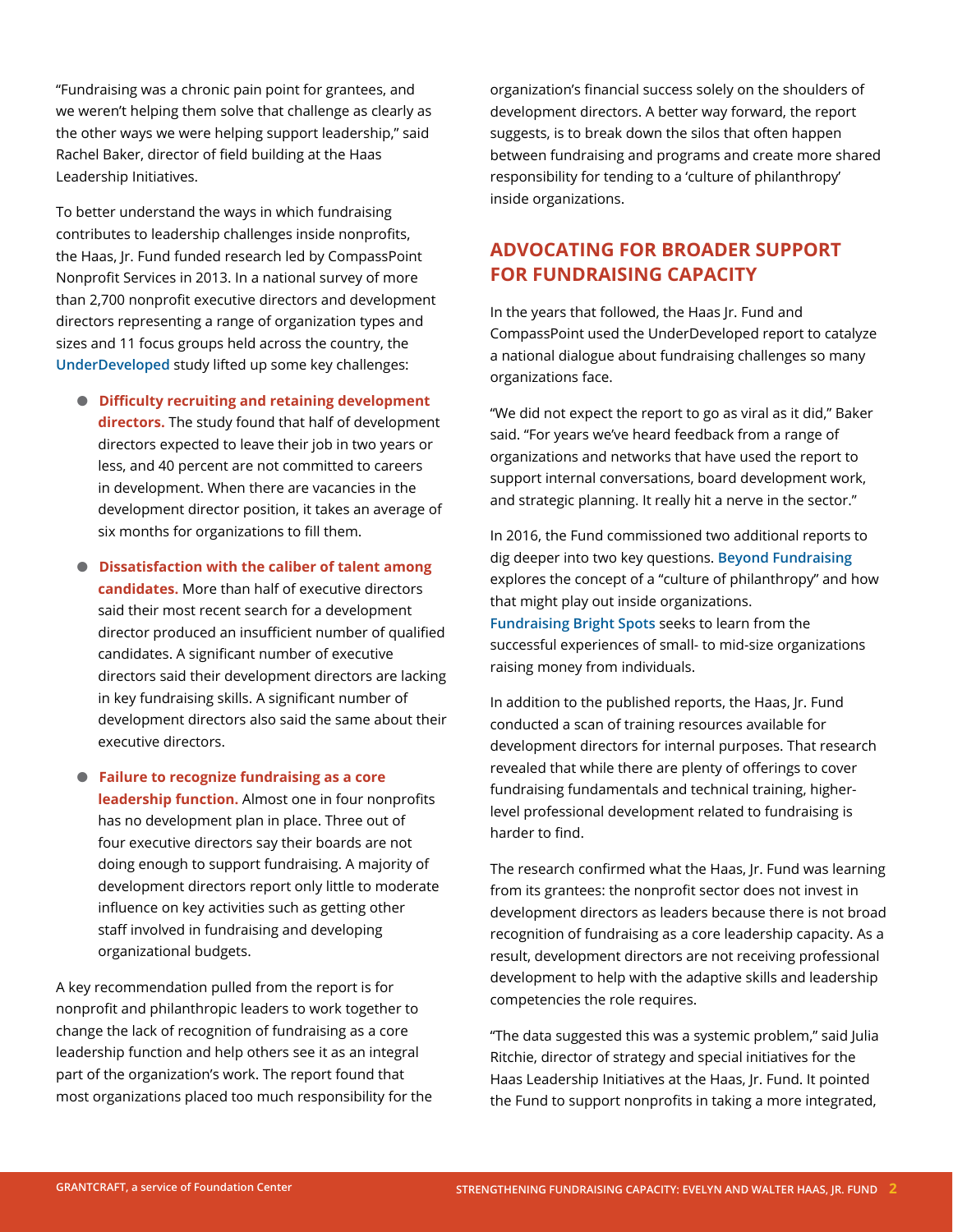"Fundraising was a chronic pain point for grantees, and we weren't helping them solve that challenge as clearly as the other ways we were helping support leadership," said Rachel Baker, director of field building at the Haas Leadership Initiatives.

To better understand the ways in which fundraising contributes to leadership challenges inside nonprofits, the Haas, Jr. Fund funded research led by CompassPoint Nonprofit Services in 2013. In a national survey of more than 2,700 nonprofit executive directors and development directors representing a range of organization types and sizes and 11 focus groups held across the country, the **[UnderDeveloped](https://www.compasspoint.org/sites/default/files/documents/UnderDeveloped_CompassPoint_HaasJrFund_January 2013.pdf)** study lifted up some key challenges:

- $\bullet$  Difficulty recruiting and retaining development **directors.** The study found that half of development directors expected to leave their job in two years or less, and 40 percent are not committed to careers in development. When there are vacancies in the development director position, it takes an average of six months for organizations to fill them.
- $\bullet$  Dissatisfaction with the caliber of talent among **candidates.** More than half of executive directors said their most recent search for a development director produced an insufficient number of qualified candidates. A significant number of executive directors said their development directors are lacking in key fundraising skills. A significant number of development directors also said the same about their executive directors.

l **Failure to recognize fundraising as a core leadership function.** Almost one in four nonprofits has no development plan in place. Three out of four executive directors say their boards are not doing enough to support fundraising. A majority of development directors report only little to moderate influence on key activities such as getting other staff involved in fundraising and developing organizational budgets.

A key recommendation pulled from the report is for nonprofit and philanthropic leaders to work together to change the lack of recognition of fundraising as a core leadership function and help others see it as an integral part of the organization's work. The report found that most organizations placed too much responsibility for the organization's financial success solely on the shoulders of development directors. A better way forward, the report suggests, is to break down the silos that often happen between fundraising and programs and create more shared responsibility for tending to a 'culture of philanthropy' inside organizations.

### **ADVOCATING FOR BROADER SUPPORT FOR FUNDRAISING CAPACITY**

In the years that followed, the Haas Jr. Fund and CompassPoint used the UnderDeveloped report to catalyze a national dialogue about fundraising challenges so many organizations face.

"We did not expect the report to go as viral as it did," Baker said. "For years we've heard feedback from a range of organizations and networks that have used the report to support internal conversations, board development work, and strategic planning. It really hit a nerve in the sector."

In 2016, the Fund commissioned two additional reports to dig deeper into two key questions. **[Beyond Fundraising](https://www.haasjr.org/resources/beyond-fundraising)** explores the concept of a "culture of philanthropy" and how that might play out inside organizations. **[Fundraising Bright Spots](https://www.haasjr.org/resources/fundraising-bright-spots)** seeks to learn from the successful experiences of small- to mid-size organizations raising money from individuals.

In addition to the published reports, the Haas, Jr. Fund conducted a scan of training resources available for development directors for internal purposes. That research revealed that while there are plenty of offerings to cover fundraising fundamentals and technical training, higherlevel professional development related to fundraising is harder to find.

The research confirmed what the Haas, Jr. Fund was learning from its grantees: the nonprofit sector does not invest in development directors as leaders because there is not broad recognition of fundraising as a core leadership capacity. As a result, development directors are not receiving professional development to help with the adaptive skills and leadership competencies the role requires.

"The data suggested this was a systemic problem," said Julia Ritchie, director of strategy and special initiatives for the Haas Leadership Initiatives at the Haas, Jr. Fund. It pointed the Fund to support nonprofits in taking a more integrated,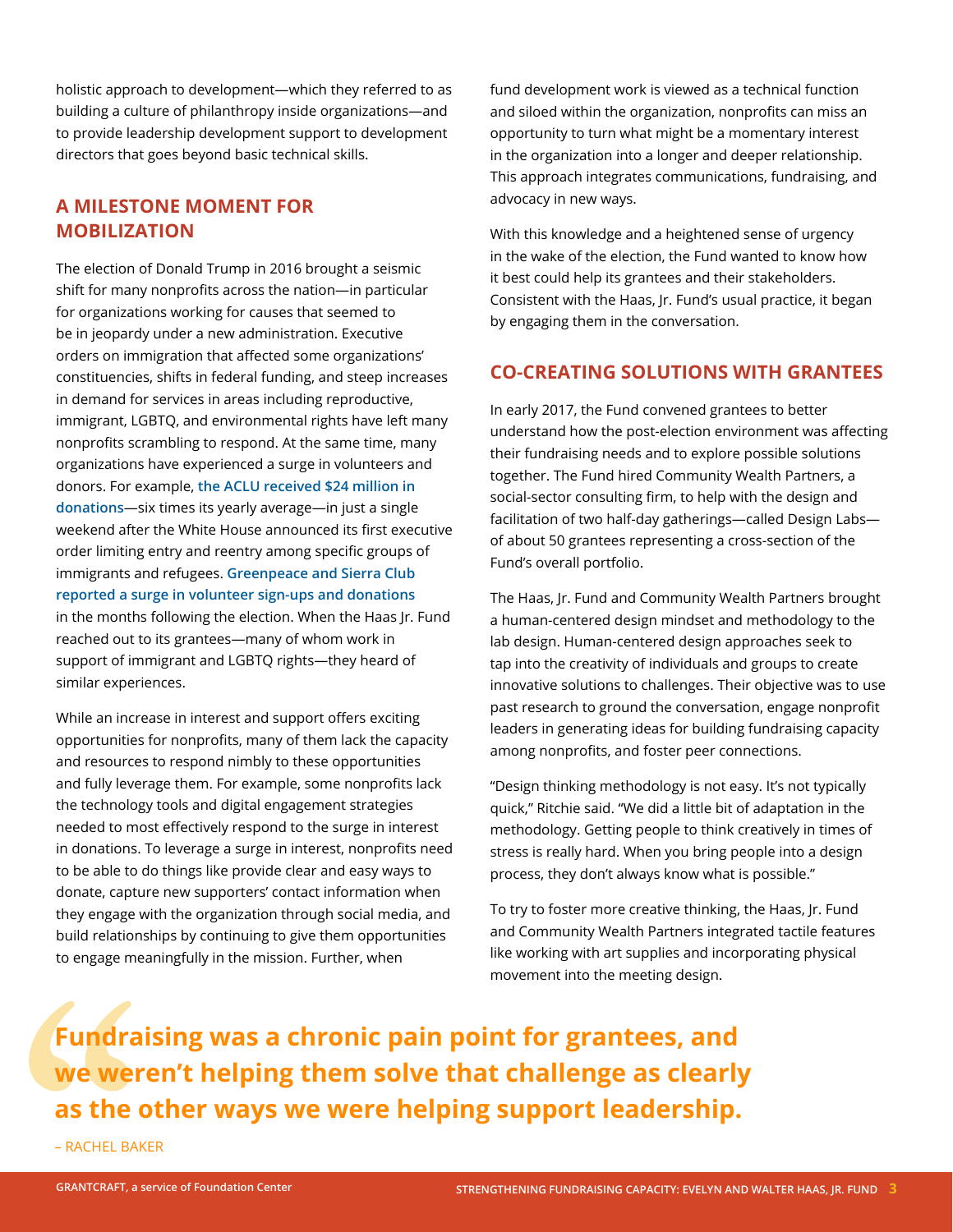holistic approach to development—which they referred to as building a culture of philanthropy inside organizations—and to provide leadership development support to development directors that goes beyond basic technical skills.

### **A MILESTONE MOMENT FOR MOBILIZATION**

The election of Donald Trump in 2016 brought a seismic shift for many nonprofits across the nation—in particular for organizations working for causes that seemed to be in jeopardy under a new administration. Executive orders on immigration that affected some organizations' constituencies, shifts in federal funding, and steep increases in demand for services in areas including reproductive, immigrant, LGBTQ, and environmental rights have left many nonprofits scrambling to respond. At the same time, many organizations have experienced a surge in volunteers and donors. For example, **[the ACLU received \\$24 million in](https://www.nytimes.com/2017/01/30/us/aclu-fund-raising-trump-travel-ban.html)  [donations](https://www.nytimes.com/2017/01/30/us/aclu-fund-raising-trump-travel-ban.html)**—six times its yearly average—in just a single weekend after the White House announced its first executive order limiting entry and reentry among specific groups of immigrants and refugees. **[Greenpeace and Sierra Club](https://www.huffingtonpost.com/entry/trump-climate-change-donations_us_5835be55e4b000af95ed6f02)  [reported a surge in volunteer sign-ups and donations](https://www.huffingtonpost.com/entry/trump-climate-change-donations_us_5835be55e4b000af95ed6f02)** in the months following the election. When the Haas Jr. Fund reached out to its grantees—many of whom work in support of immigrant and LGBTQ rights—they heard of similar experiences.

While an increase in interest and support offers exciting opportunities for nonprofits, many of them lack the capacity and resources to respond nimbly to these opportunities and fully leverage them. For example, some nonprofits lack the technology tools and digital engagement strategies needed to most effectively respond to the surge in interest in donations. To leverage a surge in interest, nonprofits need to be able to do things like provide clear and easy ways to donate, capture new supporters' contact information when they engage with the organization through social media, and build relationships by continuing to give them opportunities to engage meaningfully in the mission. Further, when

fund development work is viewed as a technical function and siloed within the organization, nonprofits can miss an opportunity to turn what might be a momentary interest in the organization into a longer and deeper relationship. This approach integrates communications, fundraising, and advocacy in new ways.

With this knowledge and a heightened sense of urgency in the wake of the election, the Fund wanted to know how it best could help its grantees and their stakeholders. Consistent with the Haas, Jr. Fund's usual practice, it began by engaging them in the conversation.

### **CO-CREATING SOLUTIONS WITH GRANTEES**

In early 2017, the Fund convened grantees to better understand how the post-election environment was affecting their fundraising needs and to explore possible solutions together. The Fund hired Community Wealth Partners, a social-sector consulting firm, to help with the design and facilitation of two half-day gatherings—called Design Labs of about 50 grantees representing a cross-section of the Fund's overall portfolio.

The Haas, Jr. Fund and Community Wealth Partners brought a human-centered design mindset and methodology to the lab design. Human-centered design approaches seek to tap into the creativity of individuals and groups to create innovative solutions to challenges. Their objective was to use past research to ground the conversation, engage nonprofit leaders in generating ideas for building fundraising capacity among nonprofits, and foster peer connections.

"Design thinking methodology is not easy. It's not typically quick," Ritchie said. "We did a little bit of adaptation in the methodology. Getting people to think creatively in times of stress is really hard. When you bring people into a design process, they don't always know what is possible."

To try to foster more creative thinking, the Haas, Jr. Fund and Community Wealth Partners integrated tactile features like working with art supplies and incorporating physical movement into the meeting design.

**Fundraising was a chronic pain point for grantees, and we weren't helping them solve that challenge as clearly as the other ways we were helping support leadership.** 

– RACHEL BAKER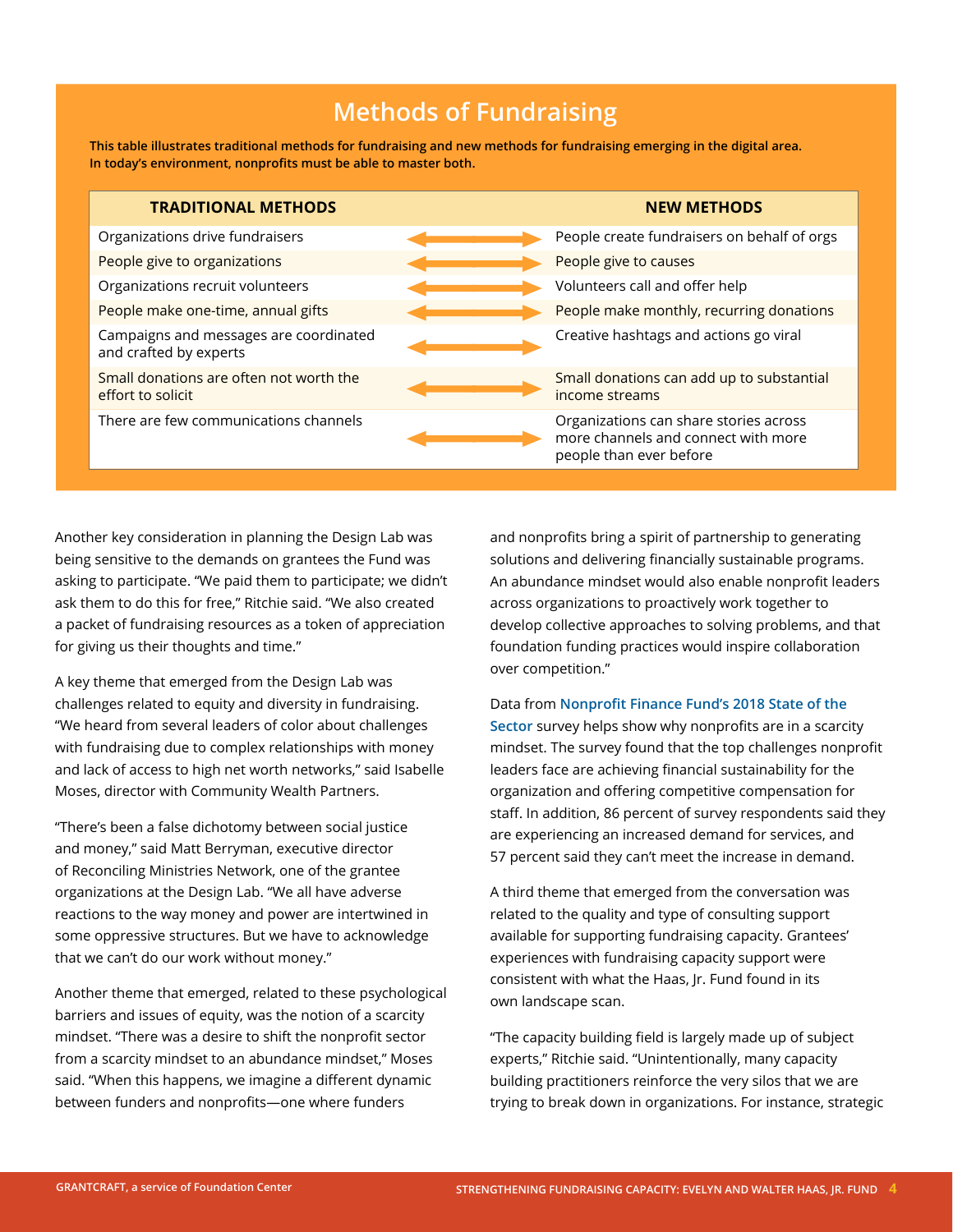### **Methods of Fundraising**

**This table illustrates traditional methods for fundraising and new methods for fundraising emerging in the digital area. In today's environment, nonprofits must be able to master both.**

| <b>TRADITIONAL METHODS</b>                                       | <b>NEW METHODS</b>                                                                                       |
|------------------------------------------------------------------|----------------------------------------------------------------------------------------------------------|
| Organizations drive fundraisers                                  | People create fundraisers on behalf of orgs                                                              |
| People give to organizations                                     | People give to causes                                                                                    |
| Organizations recruit volunteers                                 | Volunteers call and offer help                                                                           |
| People make one-time, annual gifts                               | People make monthly, recurring donations                                                                 |
| Campaigns and messages are coordinated<br>and crafted by experts | Creative hashtags and actions go viral                                                                   |
| Small donations are often not worth the<br>effort to solicit     | Small donations can add up to substantial<br>income streams                                              |
| There are few communications channels                            | Organizations can share stories across<br>more channels and connect with more<br>people than ever before |

Another key consideration in planning the Design Lab was being sensitive to the demands on grantees the Fund was asking to participate. "We paid them to participate; we didn't ask them to do this for free," Ritchie said. "We also created a packet of fundraising resources as a token of appreciation for giving us their thoughts and time."

A key theme that emerged from the Design Lab was challenges related to equity and diversity in fundraising. "We heard from several leaders of color about challenges with fundraising due to complex relationships with money and lack of access to high net worth networks," said Isabelle Moses, director with Community Wealth Partners.

"There's been a false dichotomy between social justice and money," said Matt Berryman, executive director of Reconciling Ministries Network, one of the grantee organizations at the Design Lab. "We all have adverse reactions to the way money and power are intertwined in some oppressive structures. But we have to acknowledge that we can't do our work without money."

Another theme that emerged, related to these psychological barriers and issues of equity, was the notion of a scarcity mindset. "There was a desire to shift the nonprofit sector from a scarcity mindset to an abundance mindset," Moses said. "When this happens, we imagine a different dynamic between funders and nonprofits—one where funders

and nonprofits bring a spirit of partnership to generating solutions and delivering financially sustainable programs. An abundance mindset would also enable nonprofit leaders across organizations to proactively work together to develop collective approaches to solving problems, and that foundation funding practices would inspire collaboration over competition."

#### Data from **[Nonprofit Finance Fund's 2018 State of the](https://nff.org/sites/default/files/paragraphs/file/download/341454_NFF_Survey_R1_Proof.pdf)**

**[Sector](https://nff.org/sites/default/files/paragraphs/file/download/341454_NFF_Survey_R1_Proof.pdf)** survey helps show why nonprofits are in a scarcity mindset. The survey found that the top challenges nonprofit leaders face are achieving financial sustainability for the organization and offering competitive compensation for staff. In addition, 86 percent of survey respondents said they are experiencing an increased demand for services, and 57 percent said they can't meet the increase in demand.

A third theme that emerged from the conversation was related to the quality and type of consulting support available for supporting fundraising capacity. Grantees' experiences with fundraising capacity support were consistent with what the Haas, Jr. Fund found in its own landscape scan.

"The capacity building field is largely made up of subject experts," Ritchie said. "Unintentionally, many capacity building practitioners reinforce the very silos that we are trying to break down in organizations. For instance, strategic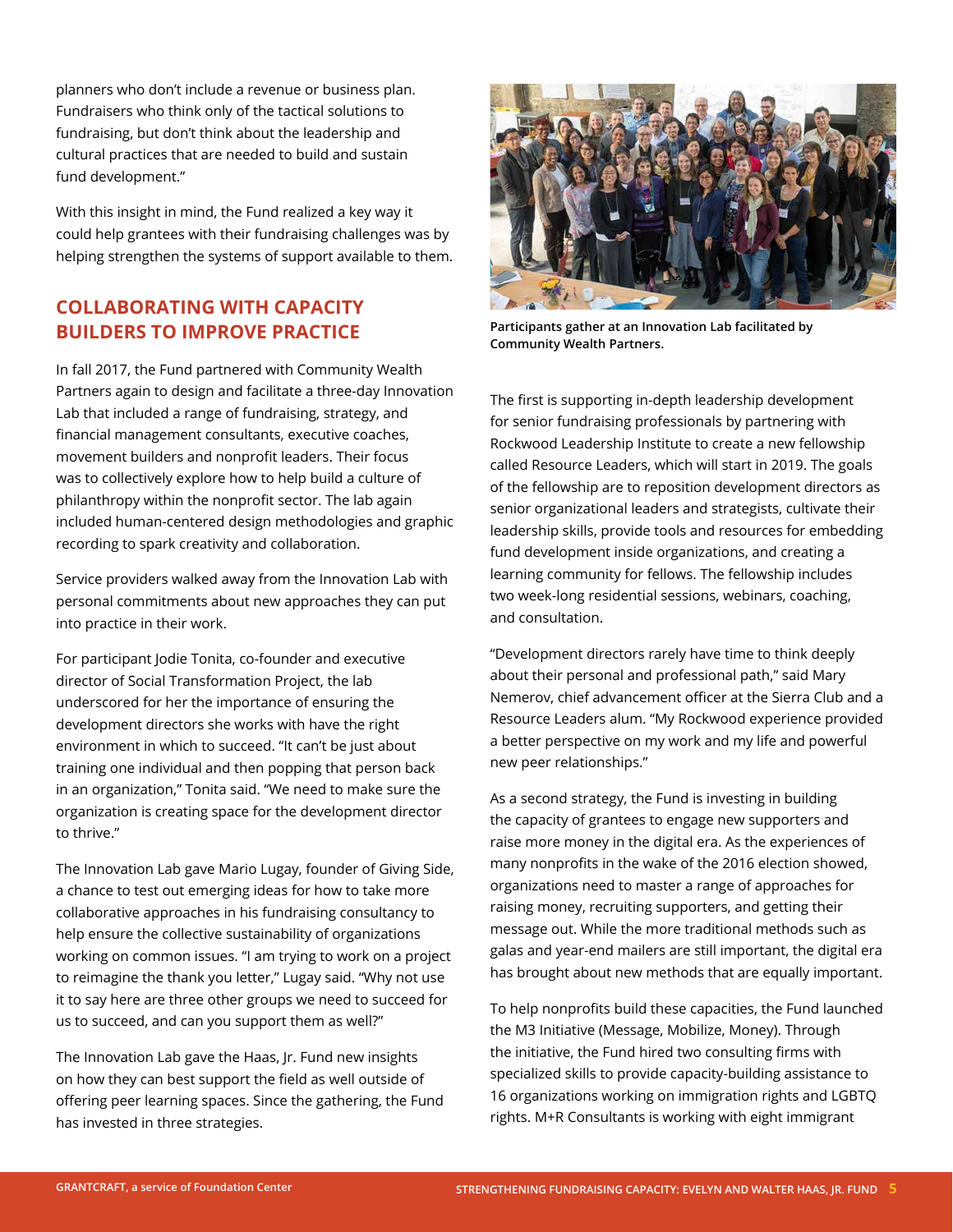planners who don't include a revenue or business plan. Fundraisers who think only of the tactical solutions to fundraising, but don't think about the leadership and cultural practices that are needed to build and sustain fund development."

With this insight in mind, the Fund realized a key way it could help grantees with their fundraising challenges was by helping strengthen the systems of support available to them.

### **COLLABORATING WITH CAPACITY BUILDERS TO IMPROVE PRACTICE**

In fall 2017, the Fund partnered with Community Wealth Partners again to design and facilitate a three-day Innovation Lab that included a range of fundraising, strategy, and financial management consultants, executive coaches, movement builders and nonprofit leaders. Their focus was to collectively explore how to help build a culture of philanthropy within the nonprofit sector. The lab again included human-centered design methodologies and graphic recording to spark creativity and collaboration.

Service providers walked away from the Innovation Lab with personal commitments about new approaches they can put into practice in their work.

For participant Jodie Tonita, co-founder and executive director of Social Transformation Project, the lab underscored for her the importance of ensuring the development directors she works with have the right environment in which to succeed. "It can't be just about training one individual and then popping that person back in an organization," Tonita said. "We need to make sure the organization is creating space for the development director to thrive."

The Innovation Lab gave Mario Lugay, founder of Giving Side, a chance to test out emerging ideas for how to take more collaborative approaches in his fundraising consultancy to help ensure the collective sustainability of organizations working on common issues. "I am trying to work on a project to reimagine the thank you letter," Lugay said. "Why not use it to say here are three other groups we need to succeed for us to succeed, and can you support them as well?"

The Innovation Lab gave the Haas, Jr. Fund new insights on how they can best support the field as well outside of offering peer learning spaces. Since the gathering, the Fund has invested in three strategies.



**Participants gather at an Innovation Lab facilitated by Community Wealth Partners.**

The first is supporting in-depth leadership development for senior fundraising professionals by partnering with Rockwood Leadership Institute to create a new fellowship called Resource Leaders, which will start in 2019. The goals of the fellowship are to reposition development directors as senior organizational leaders and strategists, cultivate their leadership skills, provide tools and resources for embedding fund development inside organizations, and creating a learning community for fellows. The fellowship includes two week-long residential sessions, webinars, coaching, and consultation.

"Development directors rarely have time to think deeply about their personal and professional path," said Mary Nemerov, chief advancement officer at the Sierra Club and a Resource Leaders alum. "My Rockwood experience provided a better perspective on my work and my life and powerful new peer relationships."

As a second strategy, the Fund is investing in building the capacity of grantees to engage new supporters and raise more money in the digital era. As the experiences of many nonprofits in the wake of the 2016 election showed, organizations need to master a range of approaches for raising money, recruiting supporters, and getting their message out. While the more traditional methods such as galas and year-end mailers are still important, the digital era has brought about new methods that are equally important.

To help nonprofits build these capacities, the Fund launched the M3 Initiative (Message, Mobilize, Money). Through the initiative, the Fund hired two consulting firms with specialized skills to provide capacity-building assistance to 16 organizations working on immigration rights and LGBTQ rights. M+R Consultants is working with eight immigrant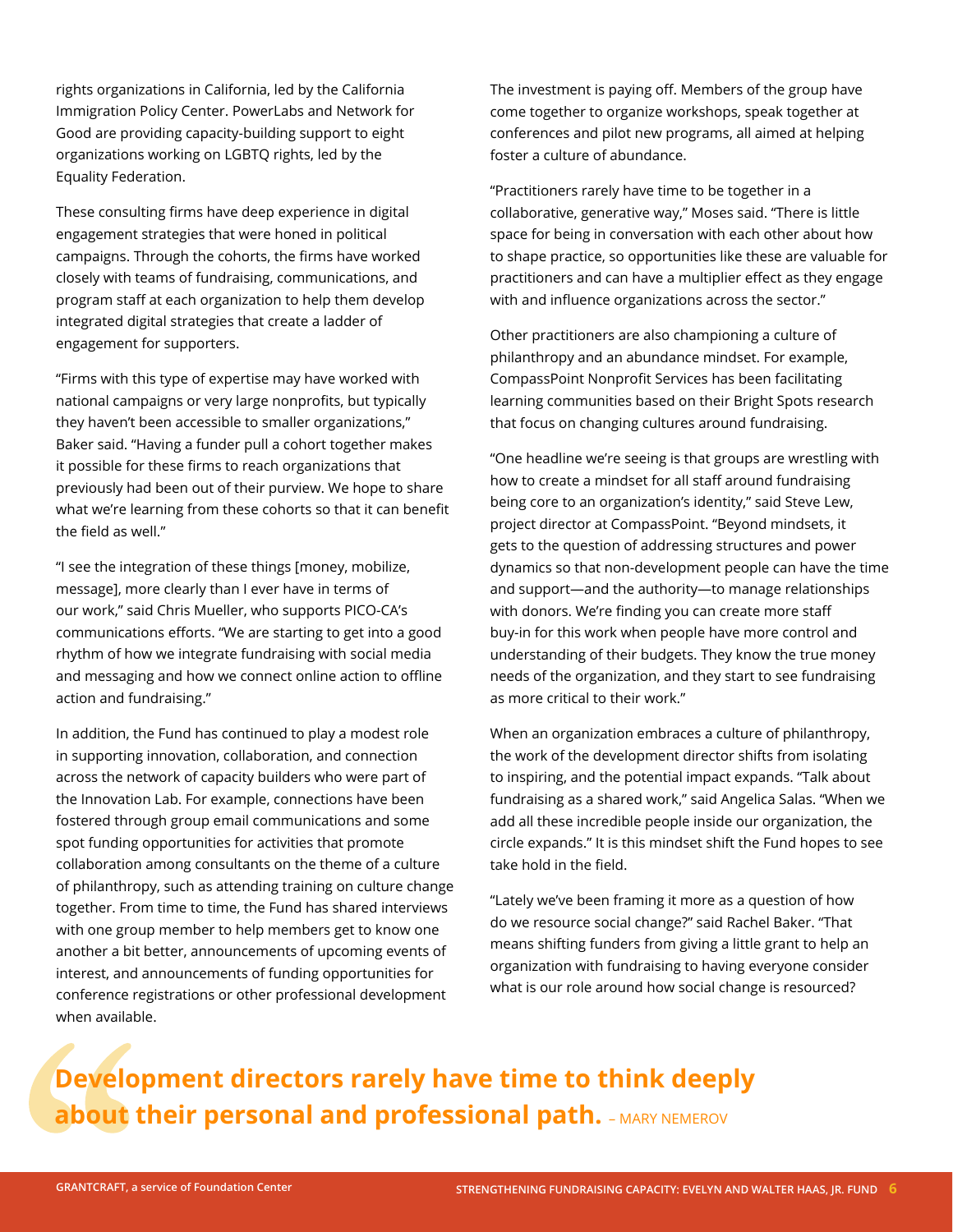rights organizations in California, led by the California Immigration Policy Center. PowerLabs and Network for Good are providing capacity-building support to eight organizations working on LGBTQ rights, led by the Equality Federation.

These consulting firms have deep experience in digital engagement strategies that were honed in political campaigns. Through the cohorts, the firms have worked closely with teams of fundraising, communications, and program staff at each organization to help them develop integrated digital strategies that create a ladder of engagement for supporters.

"Firms with this type of expertise may have worked with national campaigns or very large nonprofits, but typically they haven't been accessible to smaller organizations," Baker said. "Having a funder pull a cohort together makes it possible for these firms to reach organizations that previously had been out of their purview. We hope to share what we're learning from these cohorts so that it can benefit the field as well."

"I see the integration of these things [money, mobilize, message], more clearly than I ever have in terms of our work," said Chris Mueller, who supports PICO-CA's communications efforts. "We are starting to get into a good rhythm of how we integrate fundraising with social media and messaging and how we connect online action to offline action and fundraising."

In addition, the Fund has continued to play a modest role in supporting innovation, collaboration, and connection across the network of capacity builders who were part of the Innovation Lab. For example, connections have been fostered through group email communications and some spot funding opportunities for activities that promote collaboration among consultants on the theme of a culture of philanthropy, such as attending training on culture change together. From time to time, the Fund has shared interviews with one group member to help members get to know one another a bit better, announcements of upcoming events of interest, and announcements of funding opportunities for conference registrations or other professional development when available.

The investment is paying off. Members of the group have come together to organize workshops, speak together at conferences and pilot new programs, all aimed at helping foster a culture of abundance.

"Practitioners rarely have time to be together in a collaborative, generative way," Moses said. "There is little space for being in conversation with each other about how to shape practice, so opportunities like these are valuable for practitioners and can have a multiplier effect as they engage with and influence organizations across the sector."

Other practitioners are also championing a culture of philanthropy and an abundance mindset. For example, CompassPoint Nonprofit Services has been facilitating learning communities based on their Bright Spots research that focus on changing cultures around fundraising.

"One headline we're seeing is that groups are wrestling with how to create a mindset for all staff around fundraising being core to an organization's identity," said Steve Lew, project director at CompassPoint. "Beyond mindsets, it gets to the question of addressing structures and power dynamics so that non-development people can have the time and support—and the authority—to manage relationships with donors. We're finding you can create more staff buy-in for this work when people have more control and understanding of their budgets. They know the true money needs of the organization, and they start to see fundraising as more critical to their work."

When an organization embraces a culture of philanthropy, the work of the development director shifts from isolating to inspiring, and the potential impact expands. "Talk about fundraising as a shared work," said Angelica Salas. "When we add all these incredible people inside our organization, the circle expands." It is this mindset shift the Fund hopes to see take hold in the field.

"Lately we've been framing it more as a question of how do we resource social change?" said Rachel Baker. "That means shifting funders from giving a little grant to help an organization with fundraising to having everyone consider what is our role around how social change is resourced?

## **Development directors rarely have time to think deeply about their personal and professional path.** - MARY NEMEROV